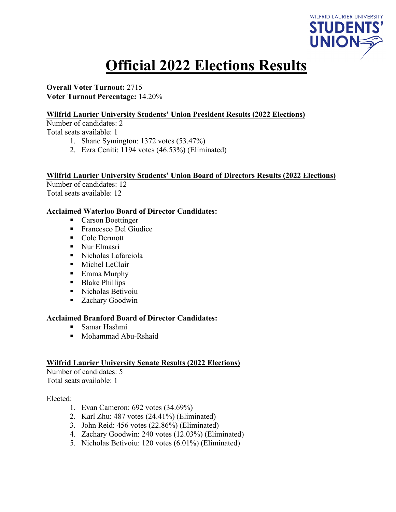

# **Official 2022 Elections Results**

**Overall Voter Turnout:** 2715 **Voter Turnout Percentage:** 14.20%

### **Wilfrid Laurier University Students' Union President Results (2022 Elections)**

Number of candidates: 2

Total seats available: 1

- 1. Shane Symington: 1372 votes (53.47%)
- 2. Ezra Ceniti: 1194 votes (46.53%) (Eliminated)

#### **Wilfrid Laurier University Students' Union Board of Directors Results (2022 Elections)**

Number of candidates: 12 Total seats available: 12

#### **Acclaimed Waterloo Board of Director Candidates:**

- Carson Boettinger
- Francesco Del Giudice
- Cole Dermott
- Nur Elmasri
- Nicholas Lafarciola
- **Michel LeClair**
- Emma Murphy
- Blake Phillips
- Nicholas Betivoiu
- Zachary Goodwin

#### **Acclaimed Branford Board of Director Candidates:**

- Samar Hashmi
- Mohammad Abu-Rshaid

#### **Wilfrid Laurier University Senate Results (2022 Elections)**

Number of candidates: 5 Total seats available: 1

#### Elected:

- 1. Evan Cameron: 692 votes (34.69%)
- 2. Karl Zhu: 487 votes (24.41%) (Eliminated)
- 3. John Reid: 456 votes (22.86%) (Eliminated)
- 4. Zachary Goodwin: 240 votes (12.03%) (Eliminated)
- 5. Nicholas Betivoiu: 120 votes (6.01%) (Eliminated)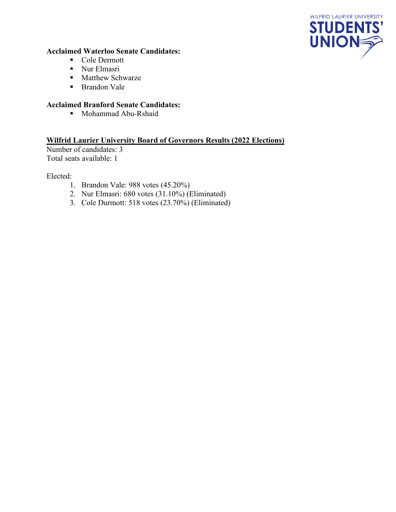

### **Acclaimed Waterloo Senate Candidates:**

- Cole Dermott
- **Nur Elmasri**
- **Matthew Schwarze**
- **Brandon Vale**

# **Acclaimed Branford Senate Candidates:**

Mohammad Abu-Rshaid

# **Wilfrid Laurier University Board of Governors Results (2022 Elections)**

Number of candidates: 3 Total seats available: 1

Elected:

- 1. Brandon Vale: 988 votes (45.20%)
- 2. Nur Elmasri: 680 votes (31.10%) (Eliminated)
- 3. Cole Durmott: 518 votes (23.70%) (Eliminated)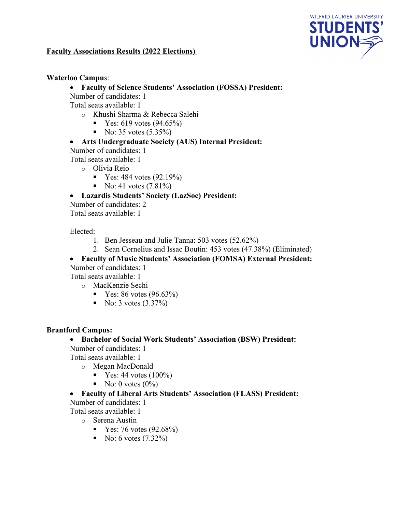

# **Faculty Associations Results (2022 Elections)**

#### **Waterloo Campu**s:

• **Faculty of Science Students' Association (FOSSA) President:**

Number of candidates: 1

Total seats available: 1

- o Khushi Sharma & Rebecca Salehi
	- $\blacktriangleright$  Yes: 619 votes (94.65%)
	- No:  $35 \text{ votes } (5.35\%)$

### • **Arts Undergraduate Society (AUS) Internal President:**

Number of candidates: 1

Total seats available: 1

- o Olivia Reio
	- $\blacktriangleright$  Yes: 484 votes (92.19%)
	- No: 41 votes  $(7.81\%)$

### • **Lazardis Students' Society (LazSoc) President:**

Number of candidates: 2 Total seats available: 1

Elected:

- 1. Ben Jesseau and Julie Tanna: 503 votes (52.62%)
- 2. Sean Cornelius and Issac Boutin: 453 votes (47.38%) (Eliminated)

### • **Faculty of Music Students' Association (FOMSA) External President:**

Number of candidates: 1

Total seats available: 1

- o MacKenzie Sechi
	- $\blacksquare$  Yes: 86 votes (96.63%)
	- No: 3 votes  $(3.37\%)$

#### **Brantford Campus:**

### • **Bachelor of Social Work Students' Association (BSW) President:**

Number of candidates: 1

Total seats available: 1

- o Megan MacDonald
	- $\blacksquare$  Yes: 44 votes (100%)
	- No: 0 votes  $(0\%)$

### • **Faculty of Liberal Arts Students' Association (FLASS) President:**

Number of candidates: 1

Total seats available: 1

- o Serena Austin
	- $\blacksquare$  Yes: 76 votes (92.68%)
	- No: 6 votes  $(7.32\%)$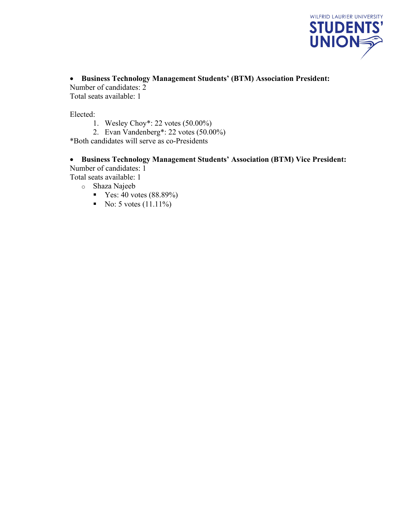

• **Business Technology Management Students' (BTM) Association President:**

Number of candidates: 2 Total seats available: 1

Elected:

- 1. Wesley Choy\*: 22 votes (50.00%)
- 2. Evan Vandenberg\*: 22 votes (50.00%)

\*Both candidates will serve as co-Presidents

# • **Business Technology Management Students' Association (BTM) Vice President:** Number of candidates: 1

Total seats available: 1

- o Shaza Najeeb
	- $Y$ es: 40 votes (88.89%)
	- No: 5 votes  $(11.11\%)$